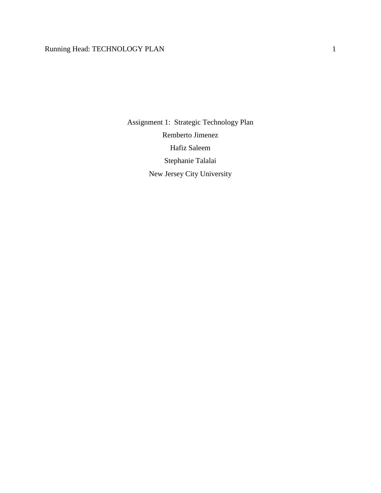# Running Head: TECHNOLOGY PLAN 1

Assignment 1: Strategic Technology Plan Remberto Jimenez Hafiz Saleem Stephanie Talalai New Jersey City University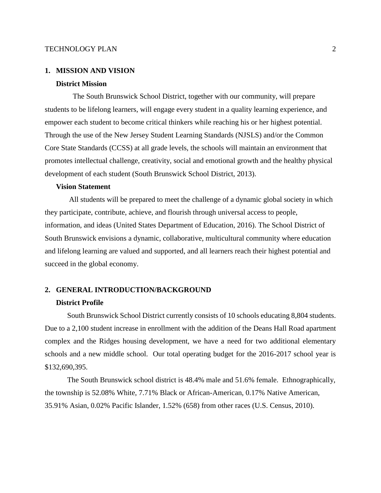#### **1. MISSION AND VISION**

## **District Mission**

The South Brunswick School District, together with our community, will prepare students to be lifelong learners, will engage every student in a quality learning experience, and empower each student to become critical thinkers while reaching his or her highest potential. Through the use of the New Jersey Student Learning Standards (NJSLS) and/or the Common Core State Standards (CCSS) at all grade levels, the schools will maintain an environment that promotes intellectual challenge, creativity, social and emotional growth and the healthy physical development of each student (South Brunswick School District, 2013).

## **Vision Statement**

All students will be prepared to meet the challenge of a dynamic global society in which they participate, contribute, achieve, and flourish through universal access to people, information, and ideas (United States Department of Education, 2016). The School District of South Brunswick envisions a dynamic, collaborative, multicultural community where education and lifelong learning are valued and supported, and all learners reach their highest potential and succeed in the global economy.

## **2. GENERAL INTRODUCTION/BACKGROUND**

#### **District Profile**

South Brunswick School District currently consists of 10 schools educating 8,804 students. Due to a 2,100 student increase in enrollment with the addition of the Deans Hall Road apartment complex and the Ridges housing development, we have a need for two additional elementary schools and a new middle school. Our total operating budget for the 2016-2017 school year is \$132,690,395.

The South Brunswick school district is 48.4% male and 51.6% female. Ethnographically, the township is 52.08% White, 7.71% Black or African-American, 0.17% Native American, 35.91% Asian, 0.02% Pacific Islander, 1.52% (658) from other races (U.S. Census, 2010).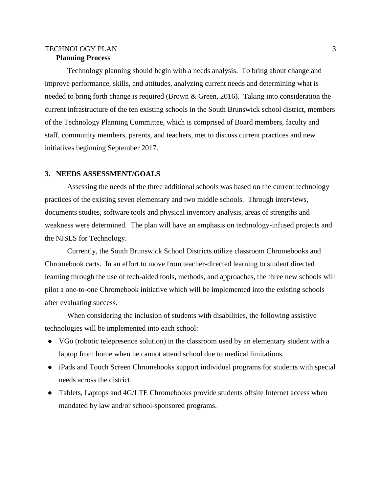# TECHNOLOGY PLAN 3 **Planning Process**

Technology planning should begin with a needs analysis. To bring about change and improve performance, skills, and attitudes, analyzing current needs and determining what is needed to bring forth change is required (Brown & Green, 2016). Taking into consideration the current infrastructure of the ten existing schools in the South Brunswick school district, members of the Technology Planning Committee, which is comprised of Board members, faculty and staff, community members, parents, and teachers, met to discuss current practices and new initiatives beginning September 2017.

## **3. NEEDS ASSESSMENT/GOALS**

Assessing the needs of the three additional schools was based on the current technology practices of the existing seven elementary and two middle schools. Through interviews, documents studies, software tools and physical inventory analysis, areas of strengths and weakness were determined. The plan will have an emphasis on technology-infused projects and the NJSLS for Technology.

Currently, the South Brunswick School Districts utilize classroom Chromebooks and Chromebook carts. In an effort to move from teacher-directed learning to student directed learning through the use of tech-aided tools, methods, and approaches, the three new schools will pilot a one-to-one Chromebook initiative which will be implemented into the existing schools after evaluating success.

When considering the inclusion of students with disabilities, the following assistive technologies will be implemented into each school:

- VGo (robotic telepresence solution) in the classroom used by an elementary student with a laptop from home when he cannot attend school due to medical limitations.
- iPads and Touch Screen Chromebooks support individual programs for students with special needs across the district.
- Tablets, Laptops and 4G/LTE Chromebooks provide students offsite Internet access when mandated by law and/or school-sponsored programs.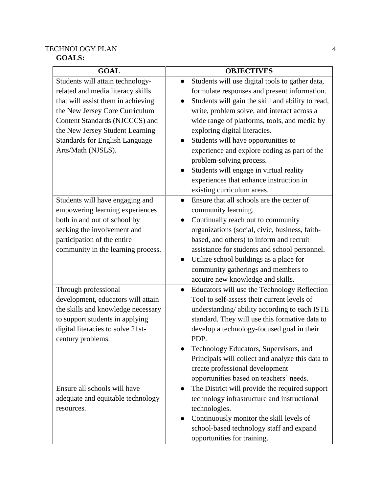# TECHNOLOGY PLAN 4 **GOALS:**

| <b>GOAL</b>                           | <b>OBJECTIVES</b>                                         |  |  |
|---------------------------------------|-----------------------------------------------------------|--|--|
| Students will attain technology-      | Students will use digital tools to gather data,           |  |  |
| related and media literacy skills     | formulate responses and present information.              |  |  |
| that will assist them in achieving    | Students will gain the skill and ability to read,         |  |  |
| the New Jersey Core Curriculum        | write, problem solve, and interact across a               |  |  |
| Content Standards (NJCCCS) and        | wide range of platforms, tools, and media by              |  |  |
| the New Jersey Student Learning       | exploring digital literacies.                             |  |  |
| <b>Standards for English Language</b> | Students will have opportunities to                       |  |  |
| Arts/Math (NJSLS).                    | experience and explore coding as part of the              |  |  |
|                                       | problem-solving process.                                  |  |  |
|                                       | Students will engage in virtual reality                   |  |  |
|                                       | experiences that enhance instruction in                   |  |  |
|                                       | existing curriculum areas.                                |  |  |
| Students will have engaging and       | Ensure that all schools are the center of                 |  |  |
| empowering learning experiences       | community learning.                                       |  |  |
| both in and out of school by          | Continually reach out to community                        |  |  |
| seeking the involvement and           | organizations (social, civic, business, faith-            |  |  |
| participation of the entire           | based, and others) to inform and recruit                  |  |  |
| community in the learning process.    | assistance for students and school personnel.             |  |  |
|                                       | Utilize school buildings as a place for                   |  |  |
|                                       | community gatherings and members to                       |  |  |
|                                       | acquire new knowledge and skills.                         |  |  |
| Through professional                  | Educators will use the Technology Reflection<br>$\bullet$ |  |  |
| development, educators will attain    | Tool to self-assess their current levels of               |  |  |
| the skills and knowledge necessary    | understanding/ability according to each ISTE              |  |  |
| to support students in applying       | standard. They will use this formative data to            |  |  |
| digital literacies to solve 21st-     | develop a technology-focused goal in their                |  |  |
| century problems.                     | PDP.                                                      |  |  |
|                                       | Technology Educators, Supervisors, and                    |  |  |
|                                       | Principals will collect and analyze this data to          |  |  |
|                                       | create professional development                           |  |  |
|                                       | opportunities based on teachers' needs.                   |  |  |
| Ensure all schools will have          | The District will provide the required support            |  |  |
| adequate and equitable technology     | technology infrastructure and instructional               |  |  |
| resources.                            | technologies.                                             |  |  |
|                                       | Continuously monitor the skill levels of                  |  |  |
|                                       | school-based technology staff and expand                  |  |  |
|                                       | opportunities for training.                               |  |  |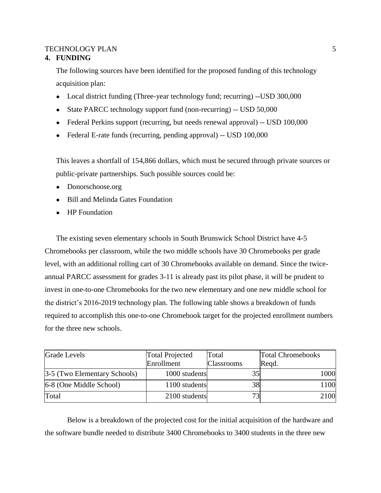# **4. FUNDING**

The following sources have been identified for the proposed funding of this technology acquisition plan:

- Local district funding (Three-year technology fund; recurring) --USD 300,000
- State PARCC technology support fund (non-recurring) -- USD 50,000
- Federal Perkins support (recurring, but needs renewal approval) -- USD 100,000
- Federal E-rate funds (recurring, pending approval) -- USD 100,000

This leaves a shortfall of 154,866 dollars, which must be secured through private sources or public-private partnerships. Such possible sources could be:

- Donorschoose.org
- Bill and Melinda Gates Foundation
- HP Foundation

The existing seven elementary schools in South Brunswick School District have 4-5 Chromebooks per classroom, while the two middle schools have 30 Chromebooks per grade level, with an additional rolling cart of 30 Chromebooks available on demand. Since the twiceannual PARCC assessment for grades 3-11 is already past its pilot phase, it will be prudent to invest in one-to-one Chromebooks for the two new elementary and one new middle school for the district's 2016-2019 technology plan. The following table shows a breakdown of funds required to accomplish this one-to-one Chromebook target for the projected enrollment numbers for the three new schools.

| <b>Grade Levels</b>          | <b>Total Projected</b> | Total             | <b>Total Chromebooks</b> |  |
|------------------------------|------------------------|-------------------|--------------------------|--|
|                              | Enrollment             | <b>Classrooms</b> | Regd.                    |  |
| 3-5 (Two Elementary Schools) | 1000 students          | 35                | 1000                     |  |
| 6-8 (One Middle School)      | 1100 students          | 38                | 1100                     |  |
| Total                        | 2100 students          | 73                | 2100                     |  |

Below is a breakdown of the projected cost for the initial acquisition of the hardware and the software bundle needed to distribute 3400 Chromebooks to 3400 students in the three new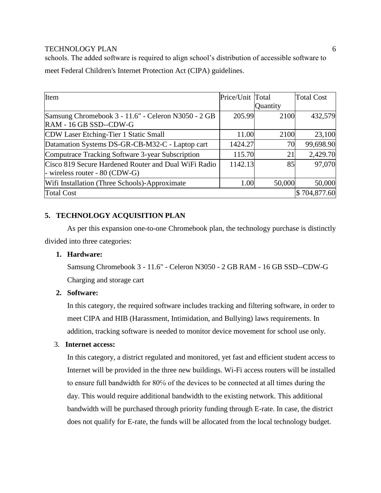schools. The added software is required to align school's distribution of accessible software to meet Federal Children's Internet Protection Act (CIPA) guidelines.

| Item                                                 | Price/Unit Total |          | <b>Total Cost</b> |
|------------------------------------------------------|------------------|----------|-------------------|
|                                                      |                  | Quantity |                   |
| Samsung Chromebook 3 - 11.6" - Celeron N3050 - 2 GB  | 205.99           | 2100     | 432,579           |
| RAM - 16 GB SSD--CDW-G                               |                  |          |                   |
| CDW Laser Etching-Tier 1 Static Small                | 11.00            | 2100     | 23,100            |
| Datamation Systems DS-GR-CB-M32-C - Laptop cart      | 1424.27          | 70       | 99,698.90         |
| Computrace Tracking Software 3-year Subscription     | 115.70           | 21       | 2,429.70          |
| Cisco 819 Secure Hardened Router and Dual WiFi Radio | 1142.13          | 85       | 97,070            |
| - wireless router - $80$ (CDW-G)                     |                  |          |                   |
| Wifi Installation (Three Schools)-Approximate        | 1.00             | 50,000   | 50,000            |
| <b>Total Cost</b>                                    |                  |          | \$704,877.60      |

# **5. TECHNOLOGY ACQUISITION PLAN**

As per this expansion one-to-one Chromebook plan, the technology purchase is distinctly divided into three categories:

# **1. Hardware:**

Samsung Chromebook 3 - 11.6" - Celeron N3050 - 2 GB RAM - 16 GB SSD--CDW-G Charging and storage cart

# **2. Software:**

In this category, the required software includes tracking and filtering software, in order to meet CIPA and HIB (Harassment, Intimidation, and Bullying) laws requirements. In addition, tracking software is needed to monitor device movement for school use only.

# 3. **Internet access:**

In this category, a district regulated and monitored, yet fast and efficient student access to Internet will be provided in the three new buildings. Wi-Fi access routers will be installed to ensure full bandwidth for 80% of the devices to be connected at all times during the day. This would require additional bandwidth to the existing network. This additional bandwidth will be purchased through priority funding through E-rate. In case, the district does not qualify for E-rate, the funds will be allocated from the local technology budget.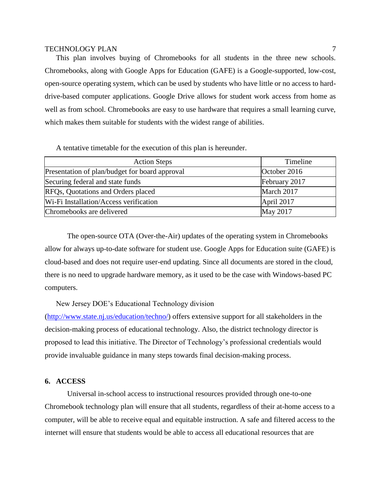This plan involves buying of Chromebooks for all students in the three new schools. Chromebooks, along with Google Apps for Education (GAFE) is a Google-supported, low-cost, open-source operating system, which can be used by students who have little or no access to harddrive-based computer applications. Google Drive allows for student work access from home as well as from school. Chromebooks are easy to use hardware that requires a small learning curve, which makes them suitable for students with the widest range of abilities.

A tentative timetable for the execution of this plan is hereunder.

| <b>Action Steps</b>                            | Timeline      |
|------------------------------------------------|---------------|
| Presentation of plan/budget for board approval | October 2016  |
| Securing federal and state funds               | February 2017 |
| RFQs, Quotations and Orders placed             | March 2017    |
| Wi-Fi Installation/Access verification         | April 2017    |
| Chromebooks are delivered                      | May 2017      |

The open-source OTA (Over-the-Air) updates of the operating system in Chromebooks allow for always up-to-date software for student use. Google Apps for Education suite (GAFE) is cloud-based and does not require user-end updating. Since all documents are stored in the cloud, there is no need to upgrade hardware memory, as it used to be the case with Windows-based PC computers.

New Jersey DOE's Educational Technology division

[\(http://www.state.nj.us/education/techno/\)](http://www.state.nj.us/education/techno/) offers extensive support for all stakeholders in the decision-making process of educational technology. Also, the district technology director is proposed to lead this initiative. The Director of Technology's professional credentials would provide invaluable guidance in many steps towards final decision-making process.

# **6. ACCESS**

Universal in-school access to instructional resources provided through one-to-one Chromebook technology plan will ensure that all students, regardless of their at-home access to a computer, will be able to receive equal and equitable instruction. A safe and filtered access to the internet will ensure that students would be able to access all educational resources that are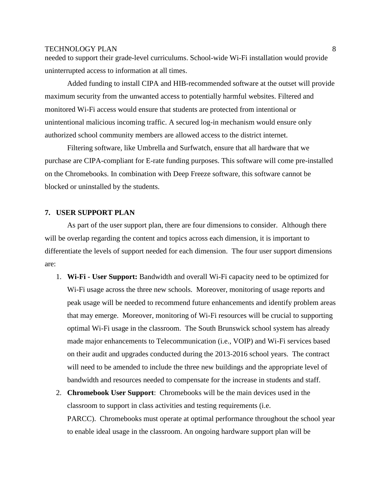needed to support their grade-level curriculums. School-wide Wi-Fi installation would provide uninterrupted access to information at all times.

Added funding to install CIPA and HIB-recommended software at the outset will provide maximum security from the unwanted access to potentially harmful websites. Filtered and monitored Wi-Fi access would ensure that students are protected from intentional or unintentional malicious incoming traffic. A secured log-in mechanism would ensure only authorized school community members are allowed access to the district internet.

Filtering software, like Umbrella and Surfwatch, ensure that all hardware that we purchase are CIPA-compliant for E-rate funding purposes. This software will come pre-installed on the Chromebooks. In combination with Deep Freeze software, this software cannot be blocked or uninstalled by the students.

# **7. USER SUPPORT PLAN**

As part of the user support plan, there are four dimensions to consider. Although there will be overlap regarding the content and topics across each dimension, it is important to differentiate the levels of support needed for each dimension. The four user support dimensions are:

- 1. **Wi-Fi - User Support:** Bandwidth and overall Wi-Fi capacity need to be optimized for Wi-Fi usage across the three new schools. Moreover, monitoring of usage reports and peak usage will be needed to recommend future enhancements and identify problem areas that may emerge. Moreover, monitoring of Wi-Fi resources will be crucial to supporting optimal Wi-Fi usage in the classroom. The South Brunswick school system has already made major enhancements to Telecommunication (i.e., VOIP) and Wi-Fi services based on their audit and upgrades conducted during the 2013-2016 school years. The contract will need to be amended to include the three new buildings and the appropriate level of bandwidth and resources needed to compensate for the increase in students and staff.
- 2. **Chromebook User Support**: Chromebooks will be the main devices used in the classroom to support in class activities and testing requirements (i.e. PARCC). Chromebooks must operate at optimal performance throughout the school year to enable ideal usage in the classroom. An ongoing hardware support plan will be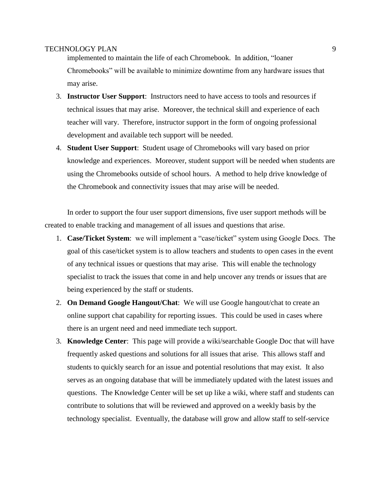implemented to maintain the life of each Chromebook. In addition, "loaner Chromebooks" will be available to minimize downtime from any hardware issues that may arise.

- 3. **Instructor User Support**: Instructors need to have access to tools and resources if technical issues that may arise. Moreover, the technical skill and experience of each teacher will vary. Therefore, instructor support in the form of ongoing professional development and available tech support will be needed.
- 4. **Student User Support**: Student usage of Chromebooks will vary based on prior knowledge and experiences. Moreover, student support will be needed when students are using the Chromebooks outside of school hours. A method to help drive knowledge of the Chromebook and connectivity issues that may arise will be needed.

In order to support the four user support dimensions, five user support methods will be created to enable tracking and management of all issues and questions that arise.

- 1. **Case/Ticket System**: we will implement a "case/ticket" system using Google Docs. The goal of this case/ticket system is to allow teachers and students to open cases in the event of any technical issues or questions that may arise. This will enable the technology specialist to track the issues that come in and help uncover any trends or issues that are being experienced by the staff or students.
- 2. **On Demand Google Hangout/Chat**: We will use Google hangout/chat to create an online support chat capability for reporting issues. This could be used in cases where there is an urgent need and need immediate tech support.
- 3. **Knowledge Center**: This page will provide a wiki/searchable Google Doc that will have frequently asked questions and solutions for all issues that arise. This allows staff and students to quickly search for an issue and potential resolutions that may exist. It also serves as an ongoing database that will be immediately updated with the latest issues and questions. The Knowledge Center will be set up like a wiki, where staff and students can contribute to solutions that will be reviewed and approved on a weekly basis by the technology specialist. Eventually, the database will grow and allow staff to self-service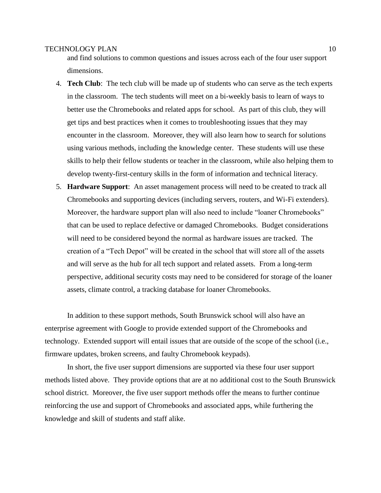and find solutions to common questions and issues across each of the four user support dimensions.

- 4. **Tech Club**: The tech club will be made up of students who can serve as the tech experts in the classroom. The tech students will meet on a bi-weekly basis to learn of ways to better use the Chromebooks and related apps for school. As part of this club, they will get tips and best practices when it comes to troubleshooting issues that they may encounter in the classroom. Moreover, they will also learn how to search for solutions using various methods, including the knowledge center. These students will use these skills to help their fellow students or teacher in the classroom, while also helping them to develop twenty-first-century skills in the form of information and technical literacy.
- 5. **Hardware Support**: An asset management process will need to be created to track all Chromebooks and supporting devices (including servers, routers, and Wi-Fi extenders). Moreover, the hardware support plan will also need to include "loaner Chromebooks" that can be used to replace defective or damaged Chromebooks. Budget considerations will need to be considered beyond the normal as hardware issues are tracked. The creation of a "Tech Depot" will be created in the school that will store all of the assets and will serve as the hub for all tech support and related assets. From a long-term perspective, additional security costs may need to be considered for storage of the loaner assets, climate control, a tracking database for loaner Chromebooks.

In addition to these support methods, South Brunswick school will also have an enterprise agreement with Google to provide extended support of the Chromebooks and technology. Extended support will entail issues that are outside of the scope of the school (i.e., firmware updates, broken screens, and faulty Chromebook keypads).

In short, the five user support dimensions are supported via these four user support methods listed above. They provide options that are at no additional cost to the South Brunswick school district. Moreover, the five user support methods offer the means to further continue reinforcing the use and support of Chromebooks and associated apps, while furthering the knowledge and skill of students and staff alike.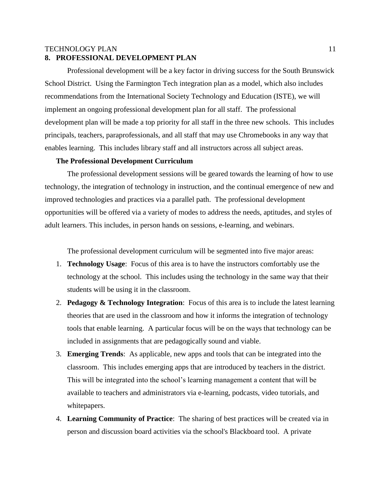# **8. PROFESSIONAL DEVELOPMENT PLAN**

Professional development will be a key factor in driving success for the South Brunswick School District. Using the Farmington Tech integration plan as a model, which also includes recommendations from the International Society Technology and Education (ISTE), we will implement an ongoing professional development plan for all staff. The professional development plan will be made a top priority for all staff in the three new schools. This includes principals, teachers, paraprofessionals, and all staff that may use Chromebooks in any way that enables learning. This includes library staff and all instructors across all subject areas.

# **The Professional Development Curriculum**

The professional development sessions will be geared towards the learning of how to use technology, the integration of technology in instruction, and the continual emergence of new and improved technologies and practices via a parallel path. The professional development opportunities will be offered via a variety of modes to address the needs, aptitudes, and styles of adult learners. This includes, in person hands on sessions, e-learning, and webinars.

The professional development curriculum will be segmented into five major areas:

- 1. **Technology Usage**: Focus of this area is to have the instructors comfortably use the technology at the school. This includes using the technology in the same way that their students will be using it in the classroom.
- 2. **Pedagogy & Technology Integration**: Focus of this area is to include the latest learning theories that are used in the classroom and how it informs the integration of technology tools that enable learning. A particular focus will be on the ways that technology can be included in assignments that are pedagogically sound and viable.
- 3. **Emerging Trends**: As applicable, new apps and tools that can be integrated into the classroom. This includes emerging apps that are introduced by teachers in the district. This will be integrated into the school's learning management a content that will be available to teachers and administrators via e-learning, podcasts, video tutorials, and whitepapers.
- 4. **Learning Community of Practice**: The sharing of best practices will be created via in person and discussion board activities via the school's Blackboard tool. A private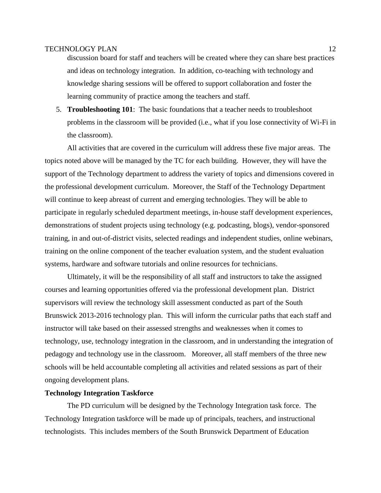discussion board for staff and teachers will be created where they can share best practices and ideas on technology integration. In addition, co-teaching with technology and knowledge sharing sessions will be offered to support collaboration and foster the learning community of practice among the teachers and staff.

5. **Troubleshooting 101**: The basic foundations that a teacher needs to troubleshoot problems in the classroom will be provided (i.e., what if you lose connectivity of Wi-Fi in the classroom).

All activities that are covered in the curriculum will address these five major areas. The topics noted above will be managed by the TC for each building. However, they will have the support of the Technology department to address the variety of topics and dimensions covered in the professional development curriculum. Moreover, the Staff of the Technology Department will continue to keep abreast of current and emerging technologies. They will be able to participate in regularly scheduled department meetings, in-house staff development experiences, demonstrations of student projects using technology (e.g. podcasting, blogs), vendor-sponsored training, in and out-of-district visits, selected readings and independent studies, online webinars, training on the online component of the teacher evaluation system, and the student evaluation systems, hardware and software tutorials and online resources for technicians.

Ultimately, it will be the responsibility of all staff and instructors to take the assigned courses and learning opportunities offered via the professional development plan. District supervisors will review the technology skill assessment conducted as part of the South Brunswick 2013-2016 technology plan. This will inform the curricular paths that each staff and instructor will take based on their assessed strengths and weaknesses when it comes to technology, use, technology integration in the classroom, and in understanding the integration of pedagogy and technology use in the classroom. Moreover, all staff members of the three new schools will be held accountable completing all activities and related sessions as part of their ongoing development plans.

#### **Technology Integration Taskforce**

The PD curriculum will be designed by the Technology Integration task force. The Technology Integration taskforce will be made up of principals, teachers, and instructional technologists. This includes members of the South Brunswick Department of Education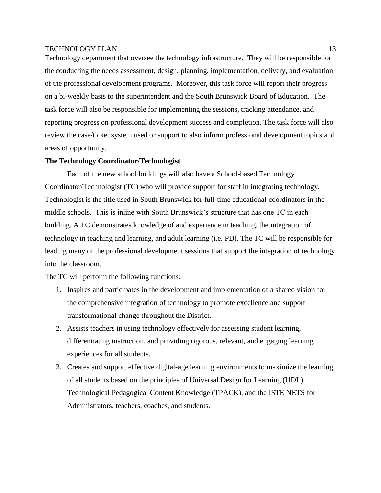Technology department that oversee the technology infrastructure. They will be responsible for the conducting the needs assessment, design, planning, implementation, delivery, and evaluation of the professional development programs. Moreover, this task force will report their progress on a bi-weekly basis to the superintendent and the South Brunswick Board of Education. The task force will also be responsible for implementing the sessions, tracking attendance, and reporting progress on professional development success and completion. The task force will also review the case/ticket system used or support to also inform professional development topics and areas of opportunity.

#### **The Technology Coordinator/Technologist**

Each of the new school buildings will also have a School-based Technology Coordinator/Technologist (TC) who will provide support for staff in integrating technology. Technologist is the title used in South Brunswick for full-time educational coordinators in the middle schools. This is inline with South Brunswick's structure that has one TC in each building. A TC demonstrates knowledge of and experience in teaching, the integration of technology in teaching and learning, and adult learning (i.e. PD). The TC will be responsible for leading many of the professional development sessions that support the integration of technology into the classroom.

The TC will perform the following functions:

- 1. Inspires and participates in the development and implementation of a shared vision for the comprehensive integration of technology to promote excellence and support transformational change throughout the District.
- 2. Assists teachers in using technology effectively for assessing student learning, differentiating instruction, and providing rigorous, relevant, and engaging learning experiences for all students.
- 3. Creates and support effective digital-age learning environments to maximize the learning of all students based on the principles of Universal Design for Learning (UDL) Technological Pedagogical Content Knowledge (TPACK), and the ISTE NETS for Administrators, teachers, coaches, and students.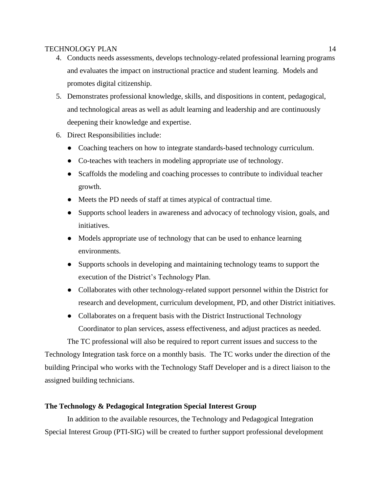- 4. Conducts needs assessments, develops technology-related professional learning programs and evaluates the impact on instructional practice and student learning. Models and promotes digital citizenship.
- 5. Demonstrates professional knowledge, skills, and dispositions in content, pedagogical, and technological areas as well as adult learning and leadership and are continuously deepening their knowledge and expertise.
- 6. Direct Responsibilities include:
	- Coaching teachers on how to integrate standards-based technology curriculum.
	- Co-teaches with teachers in modeling appropriate use of technology.
	- Scaffolds the modeling and coaching processes to contribute to individual teacher growth.
	- Meets the PD needs of staff at times atypical of contractual time.
	- Supports school leaders in awareness and advocacy of technology vision, goals, and initiatives.
	- Models appropriate use of technology that can be used to enhance learning environments.
	- Supports schools in developing and maintaining technology teams to support the execution of the District's Technology Plan.
	- Collaborates with other technology-related support personnel within the District for research and development, curriculum development, PD, and other District initiatives.
	- Collaborates on a frequent basis with the District Instructional Technology Coordinator to plan services, assess effectiveness, and adjust practices as needed.

The TC professional will also be required to report current issues and success to the Technology Integration task force on a monthly basis. The TC works under the direction of the building Principal who works with the Technology Staff Developer and is a direct liaison to the assigned building technicians.

# **The Technology & Pedagogical Integration Special Interest Group**

In addition to the available resources, the Technology and Pedagogical Integration Special Interest Group (PTI-SIG) will be created to further support professional development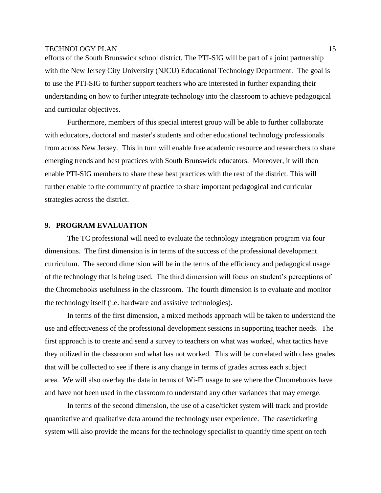efforts of the South Brunswick school district. The PTI-SIG will be part of a joint partnership with the New Jersey City University (NJCU) Educational Technology Department. The goal is to use the PTI-SIG to further support teachers who are interested in further expanding their understanding on how to further integrate technology into the classroom to achieve pedagogical and curricular objectives.

Furthermore, members of this special interest group will be able to further collaborate with educators, doctoral and master's students and other educational technology professionals from across New Jersey. This in turn will enable free academic resource and researchers to share emerging trends and best practices with South Brunswick educators. Moreover, it will then enable PTI-SIG members to share these best practices with the rest of the district. This will further enable to the community of practice to share important pedagogical and curricular strategies across the district.

# **9. PROGRAM EVALUATION**

The TC professional will need to evaluate the technology integration program via four dimensions. The first dimension is in terms of the success of the professional development curriculum. The second dimension will be in the terms of the efficiency and pedagogical usage of the technology that is being used. The third dimension will focus on student's perceptions of the Chromebooks usefulness in the classroom. The fourth dimension is to evaluate and monitor the technology itself (i.e. hardware and assistive technologies).

In terms of the first dimension, a mixed methods approach will be taken to understand the use and effectiveness of the professional development sessions in supporting teacher needs. The first approach is to create and send a survey to teachers on what was worked, what tactics have they utilized in the classroom and what has not worked. This will be correlated with class grades that will be collected to see if there is any change in terms of grades across each subject area. We will also overlay the data in terms of Wi-Fi usage to see where the Chromebooks have and have not been used in the classroom to understand any other variances that may emerge.

In terms of the second dimension, the use of a case/ticket system will track and provide quantitative and qualitative data around the technology user experience. The case/ticketing system will also provide the means for the technology specialist to quantify time spent on tech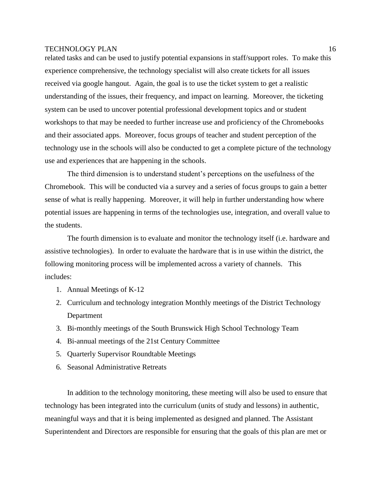related tasks and can be used to justify potential expansions in staff/support roles. To make this experience comprehensive, the technology specialist will also create tickets for all issues received via google hangout. Again, the goal is to use the ticket system to get a realistic understanding of the issues, their frequency, and impact on learning. Moreover, the ticketing system can be used to uncover potential professional development topics and or student workshops to that may be needed to further increase use and proficiency of the Chromebooks and their associated apps. Moreover, focus groups of teacher and student perception of the technology use in the schools will also be conducted to get a complete picture of the technology use and experiences that are happening in the schools.

The third dimension is to understand student's perceptions on the usefulness of the Chromebook. This will be conducted via a survey and a series of focus groups to gain a better sense of what is really happening. Moreover, it will help in further understanding how where potential issues are happening in terms of the technologies use, integration, and overall value to the students.

The fourth dimension is to evaluate and monitor the technology itself (i.e. hardware and assistive technologies). In order to evaluate the hardware that is in use within the district, the following monitoring process will be implemented across a variety of channels. This includes:

- 1. Annual Meetings of K-12
- 2. Curriculum and technology integration Monthly meetings of the District Technology Department
- 3. Bi-monthly meetings of the South Brunswick High School Technology Team
- 4. Bi-annual meetings of the 21st Century Committee
- 5. Quarterly Supervisor Roundtable Meetings
- 6. Seasonal Administrative Retreats

In addition to the technology monitoring, these meeting will also be used to ensure that technology has been integrated into the curriculum (units of study and lessons) in authentic, meaningful ways and that it is being implemented as designed and planned. The Assistant Superintendent and Directors are responsible for ensuring that the goals of this plan are met or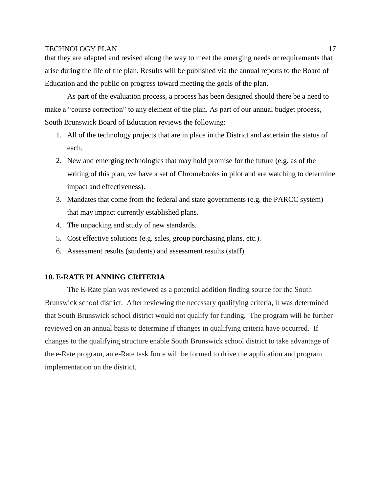that they are adapted and revised along the way to meet the emerging needs or requirements that arise during the life of the plan. Results will be published via the annual reports to the Board of Education and the public on progress toward meeting the goals of the plan.

As part of the evaluation process, a process has been designed should there be a need to make a "course correction" to any element of the plan. As part of our annual budget process, South Brunswick Board of Education reviews the following:

- 1. All of the technology projects that are in place in the District and ascertain the status of each.
- 2. New and emerging technologies that may hold promise for the future (e.g. as of the writing of this plan, we have a set of Chromebooks in pilot and are watching to determine impact and effectiveness).
- 3. Mandates that come from the federal and state governments (e.g. the PARCC system) that may impact currently established plans.
- 4. The unpacking and study of new standards.
- 5. Cost effective solutions (e.g. sales, group purchasing plans, etc.).
- 6. Assessment results (students) and assessment results (staff).

# **10. E-RATE PLANNING CRITERIA**

The E-Rate plan was reviewed as a potential addition finding source for the South Brunswick school district. After reviewing the necessary qualifying criteria, it was determined that South Brunswick school district would not qualify for funding. The program will be further reviewed on an annual basis to determine if changes in qualifying criteria have occurred. If changes to the qualifying structure enable South Brunswick school district to take advantage of the e-Rate program, an e-Rate task force will be formed to drive the application and program implementation on the district.